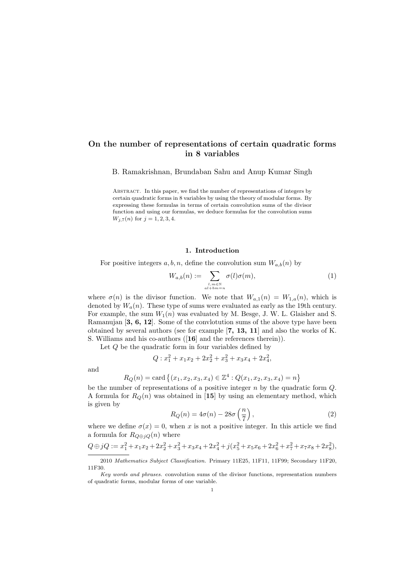# On the number of representations of certain quadratic forms in 8 variables

B. Ramakrishnan, Brundaban Sahu and Anup Kumar Singh

Abstract. In this paper, we find the number of representations of integers by certain quadratic forms in 8 variables by using the theory of modular forms. By expressing these formulas in terms of certain convolution sums of the divisor function and using our formulas, we deduce formulas for the convolution sums  $W_{j,7}(n)$  for  $j = 1, 2, 3, 4$ .

### 1. Introduction

For positive integers  $a, b, n$ , define the convolution sum  $W_{a,b}(n)$  by

$$
W_{a,b}(n) := \sum_{\substack{l,m \in \mathbb{N} \\ a l + b m = n}} \sigma(l)\sigma(m),\tag{1}
$$

where  $\sigma(n)$  is the divisor function. We note that  $W_{a,1}(n) = W_{1,a}(n)$ , which is denoted by  $W_a(n)$ . These type of sums were evaluated as early as the 19th century. For example, the sum  $W_1(n)$  was evaluated by M. Besge, J. W. L. Glaisher and S. Ramanujan [3, 6, 12]. Some of the convlotution sums of the above type have been obtained by several authors (see for example [7, 13, 11] and also the works of K. S. Williams and his co-authors ([16] and the references therein)).

Let Q be the quadratic form in four variables defined by

$$
Q: x_1^2 + x_1x_2 + 2x_2^2 + x_3^2 + x_3x_4 + 2x_4^2,
$$

and

$$
R_Q(n) = \text{card} \{ (x_1, x_2, x_3, x_4) \in \mathbb{Z}^4 : Q(x_1, x_2, x_3, x_4) = n \}
$$

be the number of representations of a positive integer  $n$  by the quadratic form  $Q$ . A formula for  $R_Q(n)$  was obtained in [15] by using an elementary method, which is given by

$$
R_Q(n) = 4\sigma(n) - 28\sigma\left(\frac{n}{7}\right),\tag{2}
$$

where we define  $\sigma(x) = 0$ , when x is not a positive integer. In this article we find a formula for  $R_{Q \oplus iQ}(n)$  where

$$
Q \oplus jQ := x_1^2 + x_1x_2 + 2x_2^2 + x_3^2 + x_3x_4 + 2x_4^2 + j(x_5^2 + x_5x_6 + 2x_6^2 + x_7^2 + x_7x_8 + 2x_8^2),
$$

<sup>2010</sup> Mathematics Subject Classification. Primary 11E25, 11F11, 11F99; Secondary 11F20, 11F30.

Key words and phrases. convolution sums of the divisor functions, representation numbers of quadratic forms, modular forms of one variable.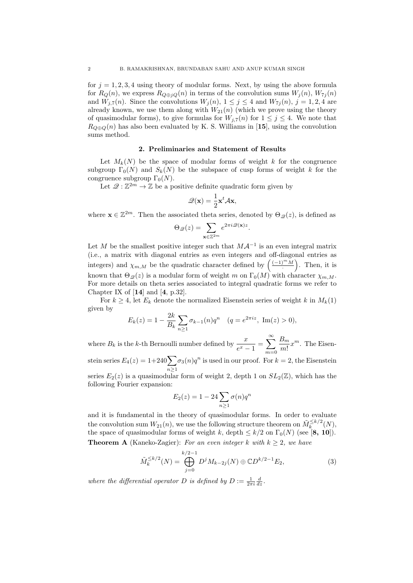for  $j = 1, 2, 3, 4$  using theory of modular forms. Next, by using the above formula for  $R_Q(n)$ , we express  $R_{Q \oplus jQ}(n)$  in terms of the convolution sums  $W_j(n)$ ,  $W_{7j}(n)$ and  $W_{j,7}(n)$ . Since the convolutions  $W_j(n)$ ,  $1 \leq j \leq 4$  and  $W_{7j}(n)$ ,  $j = 1, 2, 4$  are already known, we use them along with  $W_{21}(n)$  (which we prove using the theory of quasimodular forms), to give formulas for  $W_{i,7}(n)$  for  $1 \leq j \leq 4$ . We note that  $R_{Q \oplus Q}(n)$  has also been evaluated by K. S. Williams in [15], using the convolution sums method.

### 2. Preliminaries and Statement of Results

Let  $M_k(N)$  be the space of modular forms of weight k for the congruence subgroup  $\Gamma_0(N)$  and  $S_k(N)$  be the subspace of cusp forms of weight k for the congruence subgroup  $\Gamma_0(N)$ .

Let  $\mathscr{Q}: \mathbb{Z}^{2m} \to \mathbb{Z}$  be a positive definite quadratic form given by

$$
\mathscr{Q}(\mathbf{x}) = \frac{1}{2}\mathbf{x}^t \mathcal{A} \mathbf{x},
$$

where  $\mathbf{x} \in \mathbb{Z}^{2m}$ . Then the associated theta series, denoted by  $\Theta_{\mathscr{Q}}(z)$ , is defined as

$$
\Theta_{\mathcal{Q}}(z) = \sum_{\mathbf{x} \in \mathbb{Z}^{2m}} e^{2\pi i \mathcal{Q}(\mathbf{x})z}
$$

.

Let M be the smallest positive integer such that  $M\mathcal{A}^{-1}$  is an even integral matrix (i.e., a matrix with diagonal entries as even integers and off-diagonal entries as integers) and  $\chi_{m,M}$  be the quadratic character defined by  $\left(\frac{(-1)^m M}{M}\right)$  $\left( \frac{m \cdot M}{\cdot} \right)$ . Then, it is known that  $\Theta_{\mathscr{Q}}(z)$  is a modular form of weight m on  $\Gamma_0(M)$  with character  $\chi_{m,M}$ . For more details on theta series associated to integral quadratic forms we refer to Chapter IX of  $[14]$  and  $[4, p.32]$ .

For  $k \geq 4$ , let  $E_k$  denote the normalized Eisenstein series of weight k in  $M_k(1)$ given by

$$
E_k(z) = 1 - \frac{2k}{B_k} \sum_{n \ge 1} \sigma_{k-1}(n) q^n
$$
  $(q = e^{2\pi i z}, \text{Im}(z) > 0),$ 

where  $B_k$  is the k-th Bernoulli number defined by  $\frac{x}{e^x - 1} = \sum_{n=0}^{\infty}$  $m=0$  $B_m$  $\frac{m}{m!}x^m$ . The Eisen-

stein series  $E_4(z) = 1+240\sum$  $n\geq 1$  $\sigma_3(n)q^n$  is used in our proof. For  $k=2$ , the Eisenstein

series  $E_2(z)$  is a quasimodular form of weight 2, depth 1 on  $SL_2(\mathbb{Z})$ , which has the following Fourier expansion:

$$
E_2(z) = 1 - 24 \sum_{n \ge 1} \sigma(n) q^n
$$

and it is fundamental in the theory of quasimodular forms. In order to evaluate the convolution sum  $W_{21}(n)$ , we use the following structure theorem on  $\tilde{M}_k^{\leq k/2}(N)$ , the space of quasimodular forms of weight k, depth  $\leq k/2$  on  $\Gamma_0(N)$  (see [8, 10]). **Theorem A** (Kaneko-Zagier): For an even integer k with  $k \geq 2$ , we have

$$
\tilde{M}_k^{\leq k/2}(N) = \bigoplus_{j=0}^{k/2-1} D^j M_{k-2j}(N) \oplus \mathbb{C} D^{k/2-1} E_2,\tag{3}
$$

where the differential operator D is defined by  $D := \frac{1}{2\pi i} \frac{d}{dz}$ .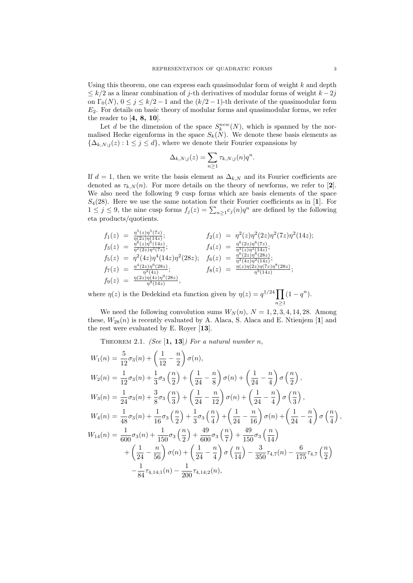Using this theorem, one can express each quasimodular form of weight  $k$  and depth  $\leq k/2$  as a linear combination of j-th derivatives of modular forms of weight  $k-2j$ on  $\Gamma_0(N)$ ,  $0 \le j \le k/2 - 1$  and the  $(k/2 - 1)$ -th derivate of the quasimodular form  $E<sub>2</sub>$ . For details on basic theory of modular forms and quasimodular forms, we refer the reader to  $[4, 8, 10]$ .

Let d be the dimension of the space  $S_k^{new}(N)$ , which is spanned by the normalised Hecke eigenforms in the space  $S_k(N)$ . We denote these basis elements as  $\{\Delta_{k,N;j}(z): 1 \leq j \leq d\}$ , where we denote their Fourier expansions by

$$
\Delta_{k,N;j}(z) = \sum_{n\geq 1} \tau_{k,N;j}(n) q^n.
$$

If  $d = 1$ , then we write the basis element as  $\Delta_{k,N}$  and its Fourier coefficients are denoted as  $\tau_{k,N}(n)$ . For more details on the theory of newforms, we refer to [2]. We also need the following 9 cusp forms which are basis elements of the space  $S_4(28)$ . Here we use the same notation for their Fourier coefficients as in [1]. For  $1 \leq j \leq 9$ , the nine cusp forms  $f_j(z) = \sum_{n \geq 1} c_j(n) q^n$  are defined by the following eta products/quotients.

$$
f_1(z) = \frac{\eta^5(z)\eta^5(7z)}{\eta(2z)\eta(14z)}; \qquad f_2(z) = \eta^2(z)\eta^2(2z)\eta^2(7z)\eta^2(14z);
$$
  
\n
$$
f_3(z) = \frac{\eta^6(z)\eta^6(14z)}{\eta^2(2z)\eta^2(7z)}; \qquad f_4(z) = \frac{\eta^6(2z)\eta^6(7z)}{\eta^2(z)\eta^2(14z)};
$$
  
\n
$$
f_5(z) = \eta^2(4z)\eta^4(14z)\eta^2(28z); \qquad f_6(z) = \frac{\eta^6(2z)\eta^6(28z)}{\eta^2(4z)\eta^2(14z)};
$$
  
\n
$$
f_7(z) = \frac{\eta^4(2z)\eta^6(28z)}{\eta^2(4z)}; \qquad f_8(z) = \frac{\eta(z)\eta(2z)\eta(7z)\eta^8(28z)}{\eta^3(14z)};
$$
  
\n
$$
f_9(z) = \frac{\eta(2z)\eta(4z)\eta^9(28z)}{\eta^3(14z)}, \qquad f_8(z) = \frac{\eta(z)\eta(2z)\eta(7z)\eta^8(28z)}{\eta^3(14z)};
$$

where  $\eta(z)$  is the Dedekind eta function given by  $\eta(z) = q^{1/24} \prod$  $n\geq 1$  $(1 - q^n).$ 

We need the following convolution sums  $W_N(n)$ ,  $N = 1, 2, 3, 4, 14, 28$ . Among these,  $W_{28}(n)$  is recently evaluated by A. Alaca, S. Alaca and E. Ntienjem [1] and the rest were evaluated by E. Royer [13].

THEOREM 2.1. (See  $\left[1, 13\right]$ ) For a natural number n,

$$
W_1(n) = \frac{5}{12}\sigma_3(n) + \left(\frac{1}{12} - \frac{n}{2}\right)\sigma(n),
$$
  
\n
$$
W_2(n) = \frac{1}{12}\sigma_3(n) + \frac{1}{3}\sigma_3\left(\frac{n}{2}\right) + \left(\frac{1}{24} - \frac{n}{8}\right)\sigma(n) + \left(\frac{1}{24} - \frac{n}{4}\right)\sigma\left(\frac{n}{2}\right),
$$
  
\n
$$
W_3(n) = \frac{1}{24}\sigma_3(n) + \frac{3}{8}\sigma_3\left(\frac{n}{3}\right) + \left(\frac{1}{24} - \frac{n}{12}\right)\sigma(n) + \left(\frac{1}{24} - \frac{n}{4}\right)\sigma\left(\frac{n}{3}\right),
$$
  
\n
$$
W_4(n) = \frac{1}{48}\sigma_3(n) + \frac{1}{16}\sigma_3\left(\frac{n}{2}\right) + \frac{1}{3}\sigma_3\left(\frac{n}{4}\right) + \left(\frac{1}{24} - \frac{n}{16}\right)\sigma(n) + \left(\frac{1}{24} - \frac{n}{4}\right)\sigma\left(\frac{n}{4}\right),
$$
  
\n
$$
W_{14}(n) = \frac{1}{600}\sigma_3(n) + \frac{1}{150}\sigma_3\left(\frac{n}{2}\right) + \frac{49}{600}\sigma_3\left(\frac{n}{7}\right) + \frac{49}{150}\sigma_3\left(\frac{n}{14}\right)
$$
  
\n
$$
+ \left(\frac{1}{24} - \frac{n}{56}\right)\sigma(n) + \left(\frac{1}{24} - \frac{n}{4}\right)\sigma\left(\frac{n}{14}\right) - \frac{3}{350}\tau_{4,7}(n) - \frac{6}{175}\tau_{4,7}\left(\frac{n}{2}\right)
$$
  
\n
$$
-\frac{1}{84}\tau_{4,14;1}(n) - \frac{1}{200}\tau_{4,14;2}(n),
$$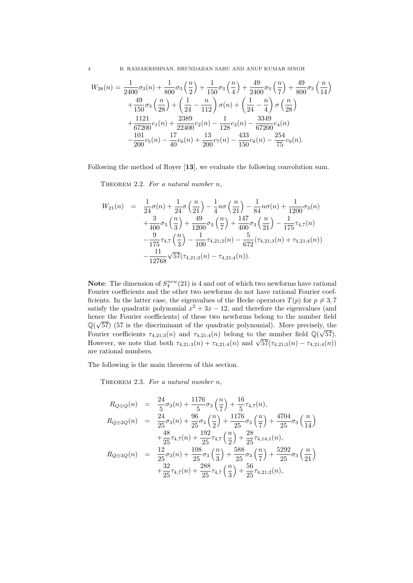4 B. RAMAKRISHNAN, BRUNDABAN SAHU AND ANUP KUMAR SINGH

$$
W_{28}(n) = \frac{1}{2400}\sigma_3(n) + \frac{1}{800}\sigma_3\left(\frac{n}{2}\right) + \frac{1}{150}\sigma_3\left(\frac{n}{4}\right) + \frac{49}{2400}\sigma_3\left(\frac{n}{7}\right) + \frac{49}{800}\sigma_3\left(\frac{n}{14}\right) + \frac{49}{150}\sigma_3\left(\frac{n}{28}\right) + \left(\frac{1}{24} - \frac{n}{112}\right)\sigma(n) + \left(\frac{1}{24} - \frac{n}{4}\right)\sigma\left(\frac{n}{28}\right) + \frac{1121}{67200}c_1(n) + \frac{2389}{22400}c_2(n) - \frac{1}{128}c_3(n) - \frac{3349}{67200}c_4(n) - \frac{101}{200}c_5(n) - \frac{17}{40}c_6(n) + \frac{13}{200}c_7(n) - \frac{433}{150}c_8(n) - \frac{254}{75}c_9(n).
$$

Following the method of Royer [13], we evaluate the following convolution sum.

THEOREM 2.2. For a natural number  $n$ ,

$$
W_{21}(n) = \frac{1}{24}\sigma(n) + \frac{1}{24}\sigma\left(\frac{n}{21}\right) - \frac{1}{4}n\sigma\left(\frac{n}{21}\right) - \frac{1}{84}n\sigma(n) + \frac{1}{1200}\sigma_3(n) + \frac{3}{400}\sigma_3\left(\frac{n}{3}\right) + \frac{49}{1200}\sigma_3\left(\frac{n}{7}\right) + \frac{147}{400}\sigma_3\left(\frac{n}{21}\right) - \frac{1}{175}\tau_{4,7}(n) - \frac{9}{175}\tau_{4,7}\left(\frac{n}{3}\right) - \frac{1}{100}\tau_{4,21;2}(n) - \frac{5}{672}(\tau_{4,21;3}(n) + \tau_{4,21;4}(n)) - \frac{11}{12768}\sqrt{57}(\tau_{4,21;3}(n) - \tau_{4,21;4}(n)).
$$

**Note:** The dimension of  $S_4^{new}(21)$  is 4 and out of which two newforms have rational Fourier coefficients and the other two newforms do not have rational Fourier coefficients. In the latter case, the eigenvalues of the Hecke operators  $T(p)$  for  $p \neq 3, 7$ satisfy the quadratic polynomial  $x^2 + 3x - 12$ , and therefore the eigenvalues (and hence the Fourier coefficients) of these two newforms belong to the number field  $\mathbb{Q}(\sqrt{57})$  (57 is the discriminant of the quadratic polynomial). More precisely, the Fourier coefficients  $\tau_{4,21;3}(n)$  and  $\tau_{4,21;4}(n)$  belong to the number field  $\mathbb{Q}(\sqrt{57})$ . Fourier coencients  $\tau_{4,21;3}(n)$  and  $\tau_{4,21;4}(n)$  belong to the number held  $\mathcal{Q}(\sqrt{3}t)$ .<br>However, we note that both  $\tau_{4,21;3}(n) + \tau_{4,21;4}(n)$  and  $\sqrt{57}(\tau_{4,21;3}(n) - \tau_{4,21;4}(n))$ are rational numbers.

The following is the main theorem of this section.

THEOREM 2.3. For a natural number  $n$ ,

$$
R_{Q \oplus Q}(n) = \frac{24}{5} \sigma_3(n) + \frac{1176}{5} \sigma_3\left(\frac{n}{7}\right) + \frac{16}{5} \tau_{4,7}(n),
$$
  
\n
$$
R_{Q \oplus 2Q}(n) = \frac{24}{25} \sigma_3(n) + \frac{96}{25} \sigma_3\left(\frac{n}{2}\right) + \frac{1176}{25} \sigma_3\left(\frac{n}{7}\right) + \frac{4704}{25} \sigma_3\left(\frac{n}{14}\right)
$$
  
\n
$$
+ \frac{48}{25} \tau_{4,7}(n) + \frac{192}{25} \tau_{4,7}\left(\frac{n}{2}\right) + \frac{28}{25} \tau_{4,14;1}(n),
$$
  
\n
$$
R_{Q \oplus 3Q}(n) = \frac{12}{25} \sigma_3(n) + \frac{108}{25} \sigma_3\left(\frac{n}{3}\right) + \frac{588}{25} \sigma_3\left(\frac{n}{7}\right) + \frac{5292}{25} \sigma_3\left(\frac{n}{21}\right)
$$
  
\n
$$
+ \frac{32}{25} \tau_{4,7}(n) + \frac{288}{25} \tau_{4,7}\left(\frac{n}{3}\right) + \frac{56}{25} \tau_{4,21;2}(n),
$$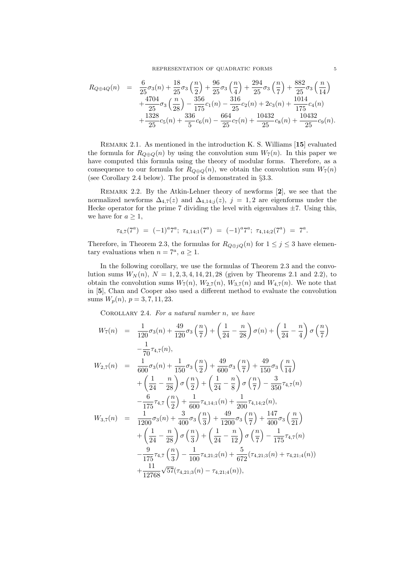$$
R_{Q \oplus 4Q}(n) = \frac{6}{25} \sigma_3(n) + \frac{18}{25} \sigma_3\left(\frac{n}{2}\right) + \frac{96}{25} \sigma_3\left(\frac{n}{4}\right) + \frac{294}{25} \sigma_3\left(\frac{n}{7}\right) + \frac{882}{25} \sigma_3\left(\frac{n}{14}\right) + \frac{4704}{25} \sigma_3\left(\frac{n}{28}\right) - \frac{356}{175} c_1(n) - \frac{316}{25} c_2(n) + 2c_3(n) + \frac{1014}{175} c_4(n) + \frac{1328}{25} c_5(n) + \frac{336}{5} c_6(n) - \frac{664}{25} c_7(n) + \frac{10432}{25} c_8(n) + \frac{10432}{25} c_9(n).
$$

REMARK 2.1. As mentioned in the introduction K. S. Williams [15] evaluated the formula for  $R_{Q \oplus Q}(n)$  by using the convolution sum  $W_7(n)$ . In this paper we have computed this formula using the theory of modular forms. Therefore, as a consequence to our formula for  $R_{Q \oplus Q}(n)$ , we obtain the convolution sum  $W_7(n)$ (see Corollary 2.4 below). The proof is demonstrated in §3.3.

REMARK 2.2. By the Atkin-Lehner theory of newforms  $[2]$ , we see that the normalized newforms  $\Delta_{4,7}(z)$  and  $\Delta_{4,14;j}(z)$ ,  $j = 1,2$  are eigenforms under the Hecke operator for the prime 7 dividing the level with eigenvalues  $\pm 7$ . Using this, we have for  $a > 1$ ,

$$
\tau_{4,7}(7^a) \; = \; (-1)^a 7^a; \; \tau_{4,14;1}(7^a) \; = \; (-1)^a 7^a; \; \tau_{4,14;2}(7^a) \; = \; 7^a.
$$

Therefore, in Theorem 2.3, the formulas for  $R_{Q \oplus jQ}(n)$  for  $1 \leq j \leq 3$  have elementary evaluations when  $n = 7^a$ ,  $a \ge 1$ .

In the following corollary, we use the formulas of Theorem 2.3 and the convolution sums  $W_N(n)$ ,  $N = 1, 2, 3, 4, 14, 21, 28$  (given by Theorems 2.1 and 2.2), to obtain the convolution sums  $W_7(n)$ ,  $W_{2,7}(n)$ ,  $W_{3,7}(n)$  and  $W_{4,7}(n)$ . We note that in [5], Chan and Cooper also used a different method to evaluate the convolution sums  $W_p(n)$ ,  $p = 3, 7, 11, 23$ .

COROLLARY 2.4. For a natural number  $n$ , we have

$$
W_7(n) = \frac{1}{120}\sigma_3(n) + \frac{49}{120}\sigma_3\left(\frac{n}{7}\right) + \left(\frac{1}{24} - \frac{n}{28}\right)\sigma(n) + \left(\frac{1}{24} - \frac{n}{4}\right)\sigma\left(\frac{n}{7}\right)
$$
  
\n
$$
-\frac{1}{70}\tau_{4,7}(n),
$$
  
\n
$$
W_{2,7}(n) = \frac{1}{600}\sigma_3(n) + \frac{1}{150}\sigma_3\left(\frac{n}{2}\right) + \frac{49}{600}\sigma_3\left(\frac{n}{7}\right) + \frac{49}{150}\sigma_3\left(\frac{n}{14}\right)
$$
  
\n
$$
+ \left(\frac{1}{24} - \frac{n}{28}\right)\sigma\left(\frac{n}{2}\right) + \left(\frac{1}{24} - \frac{n}{8}\right)\sigma\left(\frac{n}{7}\right) - \frac{3}{350}\tau_{4,7}(n)
$$
  
\n
$$
-\frac{6}{175}\tau_{4,7}\left(\frac{n}{2}\right) + \frac{1}{600}\tau_{4,14;1}(n) + \frac{1}{200}\tau_{4,14;2}(n),
$$
  
\n
$$
W_{3,7}(n) = \frac{1}{1200}\sigma_3(n) + \frac{3}{400}\sigma_3\left(\frac{n}{3}\right) + \frac{49}{1200}\sigma_3\left(\frac{n}{7}\right) + \frac{147}{400}\sigma_3\left(\frac{n}{21}\right)
$$
  
\n
$$
+ \left(\frac{1}{24} - \frac{n}{28}\right)\sigma\left(\frac{n}{3}\right) + \left(\frac{1}{24} - \frac{n}{12}\right)\sigma\left(\frac{n}{7}\right) - \frac{1}{175}\tau_{4,7}(n)
$$
  
\n
$$
-\frac{9}{175}\tau_{4,7}\left(\frac{n}{3}\right) - \frac{1}{100}\tau_{4,21;2}(n) + \frac{5}{672}(\tau_{4,21;3}(n) + \tau_{4,21;4}(n))
$$
  
\n
$$
+ \frac{11}{12768}\sqrt{57}(\tau_{4,21;3}(n) - \tau_{4,21;4}(n)),
$$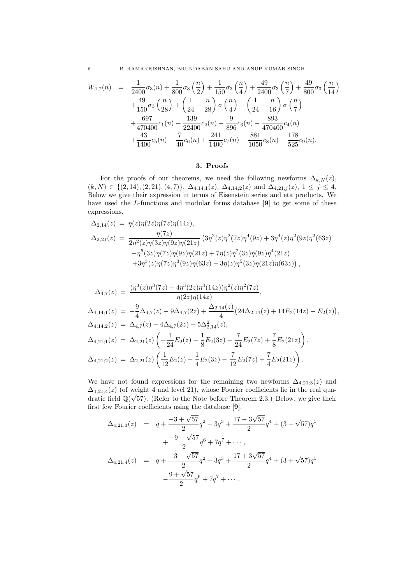6 B. RAMAKRISHNAN, BRUNDABAN SAHU AND ANUP KUMAR SINGH

$$
W_{4,7}(n) = \frac{1}{2400}\sigma_3(n) + \frac{1}{800}\sigma_3\left(\frac{n}{2}\right) + \frac{1}{150}\sigma_3\left(\frac{n}{4}\right) + \frac{49}{2400}\sigma_3\left(\frac{n}{7}\right) + \frac{49}{800}\sigma_3\left(\frac{n}{14}\right) + \frac{49}{150}\sigma_3\left(\frac{n}{28}\right) + \left(\frac{1}{24} - \frac{n}{28}\right)\sigma\left(\frac{n}{4}\right) + \left(\frac{1}{24} - \frac{n}{16}\right)\sigma\left(\frac{n}{7}\right) + \frac{697}{470400}c_1(n) + \frac{139}{22400}c_2(n) - \frac{9}{896}c_3(n) - \frac{893}{470400}c_4(n) + \frac{43}{1400}c_5(n) - \frac{7}{40}c_6(n) + \frac{241}{1400}c_7(n) - \frac{881}{1050}c_8(n) - \frac{178}{525}c_9(n).
$$

## 3. Proofs

For the proofs of our theorems, we need the following newforms  $\Delta_{k,N}(z)$ ,  $(k, N) \in \{(2, 14), (2, 21), (4, 7)\}, \ \Delta_{4,14;1}(z), \ \Delta_{4,14;2}(z) \text{ and } \Delta_{4,21; j}(z), \ 1 \leq j \leq 4.$ Below we give their expression in terms of Eisenstein series and eta products. We have used the L-functions and modular forms database [9] to get some of these expressions.

$$
\Delta_{2,14}(z) = \eta(z)\eta(2z)\eta(7z)\eta(14z),
$$
  
\n
$$
\Delta_{2,21}(z) = \frac{\eta(7z)}{2\eta^2(z)\eta(3z)\eta(9z)\eta(21z)} (3\eta^2(z)\eta^2(7z)\eta^4(9z) + 3\eta^4(z)\eta^2(9z)\eta^2(63z)
$$
  
\n
$$
-\eta^5(3z)\eta(7z)\eta(9z)\eta(21z) + 7\eta(z)\eta^2(3z)\eta(9z)\eta^4(21z)
$$
  
\n
$$
+3\eta^3(z)\eta(7z)\eta^3(9z)\eta(63z) - 3\eta(z)\eta^5(3z)\eta(21z)\eta(63z)),
$$

$$
\Delta_{4,7}(z) = \frac{(\eta^3(z)\eta^3(7z) + 4\eta^3(2z)\eta^3(14z))\eta^2(z)\eta^2(7z)}{\eta(2z)\eta(14z)},
$$
\n
$$
\Delta_{4,14;1}(z) = -\frac{9}{4}\Delta_{4,7}(z) - 9\Delta_{4,7}(2z) + \frac{\Delta_{2,14}(z)}{4}(24\Delta_{2,14}(z) + 14E_2(14z) - E_2(z)),
$$
\n
$$
\Delta_{4,14;2}(z) = \Delta_{4,7}(z) - 4\Delta_{4,7}(2z) - 5\Delta_{2,14}^2(z),
$$
\n
$$
\Delta_{4,21;1}(z) = \Delta_{2,21}(z)\left(-\frac{1}{24}E_2(z) - \frac{1}{8}E_2(3z) + \frac{7}{24}E_2(7z) + \frac{7}{8}E_2(21z)\right),
$$
\n
$$
\Delta_{4,21;2}(z) = \Delta_{2,21}(z)\left(\frac{1}{12}E_2(z) - \frac{1}{4}E_2(3z) - \frac{7}{12}E_2(7z) + \frac{7}{4}E_2(21z)\right).
$$

We have not found expressions for the remaining two newforms  $\Delta_{4,21;3}(z)$  and  $\Delta_{4,21;4}(z)$  (of weight 4 and level 21), whose Fourier coefficients lie in the real quadratic field  $\mathbb{Q}(\sqrt{57})$ . (Refer to the Note before Theorem 2.3.) Below, we give their first few Fourier coefficients using the database [9].

$$
\Delta_{4,21;3}(z) = q + \frac{-3 + \sqrt{57}}{2}q^2 + 3q^3 + \frac{17 - 3\sqrt{57}}{2}q^4 + (3 - \sqrt{57})q^5
$$
  
+ 
$$
\frac{-9 + \sqrt{57}}{2}q^6 + 7q^7 + \cdots ,
$$
  

$$
\Delta_{4,21;4}(z) = q + \frac{-3 - \sqrt{57}}{2}q^2 + 3q^3 + \frac{17 + 3\sqrt{57}}{2}q^4 + (3 + \sqrt{57})q^5
$$
  

$$
-\frac{9 + \sqrt{57}}{2}q^6 + 7q^7 + \cdots .
$$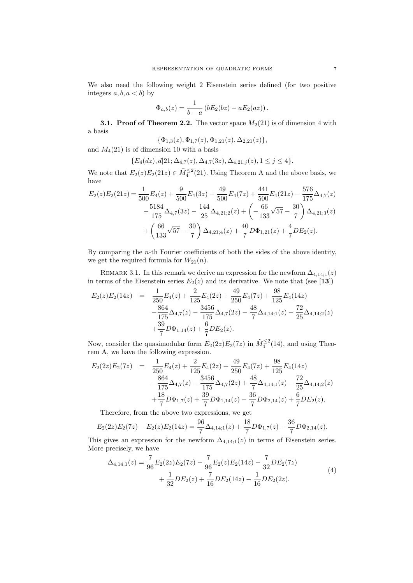We also need the following weight 2 Eisenstein series defined (for two positive integers  $a, b, a < b$  by

$$
\Phi_{a,b}(z) = \frac{1}{b-a} (bE_2(bz) - aE_2(az)).
$$

**3.1. Proof of Theorem 2.2.** The vector space  $M_2(21)$  is of dimension 4 with a basis

$$
\{\Phi_{1,3}(z), \Phi_{1,7}(z), \Phi_{1,21}(z), \Delta_{2,21}(z)\},\
$$

and  $M_4(21)$  is of dimension 10 with a basis

$$
\{E_4(dz), d|21; \Delta_{4,7}(z), \Delta_{4,7}(3z), \Delta_{4,21;j}(z), 1 \le j \le 4\}.
$$

We note that  $E_2(z)E_2(21z) \in \tilde{M}_4^{\leq 2}(21)$ . Using Theorem A and the above basis, we have  $\overline{441}$ 576

$$
E_2(z)E_2(21z) = \frac{1}{500}E_4(z) + \frac{9}{500}E_4(3z) + \frac{49}{500}E_4(7z) + \frac{441}{500}E_4(21z) - \frac{576}{175}\Delta_{4,7}(z) - \frac{5184}{175}\Delta_{4,7}(3z) - \frac{144}{25}\Delta_{4,21;2}(z) + \left(-\frac{66}{133}\sqrt{57} - \frac{30}{7}\right)\Delta_{4,21;3}(z) + \left(\frac{66}{133}\sqrt{57} - \frac{30}{7}\right)\Delta_{4,21;4}(z) + \frac{40}{7}D\Phi_{1,21}(z) + \frac{4}{7}DE_2(z).
$$

By comparing the  $n$ -th Fourier coefficients of both the sides of the above identity, we get the required formula for  $W_{21}(n)$ .

REMARK 3.1. In this remark we derive an expression for the newform  $\Delta_{4,14;1}(z)$ in terms of the Eisenstein series  $E_2(z)$  and its derivative. We note that (see [13])

$$
E_2(z)E_2(14z) = \frac{1}{250}E_4(z) + \frac{2}{125}E_4(2z) + \frac{49}{250}E_4(7z) + \frac{98}{125}E_4(14z) -\frac{864}{175}\Delta_{4,7}(z) - \frac{3456}{175}\Delta_{4,7}(2z) - \frac{48}{7}\Delta_{4,14;1}(z) - \frac{72}{25}\Delta_{4,14;2}(z) +\frac{39}{7}D\Phi_{1,14}(z) + \frac{6}{7}DE_2(z).
$$

Now, consider the quasimodular form  $E_2(2z)E_2(7z)$  in  $\tilde{M}_4^{\leq 2}(14)$ , and using Theorem A, we have the following expression.

$$
E_2(2z)E_2(7z) = \frac{1}{250}E_4(z) + \frac{2}{125}E_4(2z) + \frac{49}{250}E_4(7z) + \frac{98}{125}E_4(14z) -\frac{864}{175}\Delta_{4,7}(z) - \frac{3456}{175}\Delta_{4,7}(2z) + \frac{48}{7}\Delta_{4,14;1}(z) - \frac{72}{25}\Delta_{4,14;2}(z) +\frac{18}{7}D\Phi_{1,7}(z) + \frac{39}{7}D\Phi_{1,14}(z) - \frac{36}{7}D\Phi_{2,14}(z) + \frac{6}{7}DE_2(z).
$$

Therefore, from the above two expressions, we get

$$
E_2(2z)E_2(7z) - E_2(z)E_2(14z) = \frac{96}{7}\Delta_{4,14;1}(z) + \frac{18}{7}D\Phi_{1,7}(z) - \frac{36}{7}D\Phi_{2,14}(z).
$$

This gives an expression for the newform  $\Delta_{4,14;1}(z)$  in terms of Eisenstein series. More precisely, we have

$$
\Delta_{4,14;1}(z) = \frac{7}{96} E_2(2z) E_2(7z) - \frac{7}{96} E_2(z) E_2(14z) - \frac{7}{32} D E_2(7z) \n+ \frac{1}{32} D E_2(z) + \frac{7}{16} D E_2(14z) - \frac{1}{16} D E_2(2z).
$$
\n(4)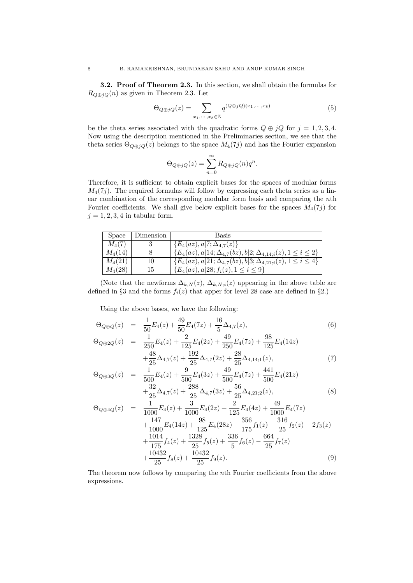**3.2. Proof of Theorem 2.3.** In this section, we shall obtain the formulas for  $R_{Q \oplus jQ}(n)$  as given in Theorem 2.3. Let

$$
\Theta_{Q \oplus jQ}(z) = \sum_{x_1, \cdots, x_8 \in \mathbb{Z}} q^{(Q \oplus jQ)(x_1, \cdots, x_8)} \tag{5}
$$

be the theta series associated with the quadratic forms  $Q \oplus iQ$  for  $j = 1, 2, 3, 4$ . Now using the description mentioned in the Preliminaries section, we see that the theta series  $\Theta_{Q\oplus jQ}(z)$  belongs to the space  $M_4(7j)$  and has the Fourier expansion

$$
\Theta_{Q \oplus jQ}(z) = \sum_{n=0}^{\infty} R_{Q \oplus jQ}(n)q^n.
$$

Therefore, it is sufficient to obtain explicit bases for the spaces of modular forms  $M_4(7j)$ . The required formulas will follow by expressing each theta series as a linear combination of the corresponding modular form basis and comparing the nth Fourier coefficients. We shall give below explicit bases for the spaces  $M_4(7j)$  for  $j = 1, 2, 3, 4$  in tabular form.

| <b>Space</b> | Dimension | Basis                                                                               |
|--------------|-----------|-------------------------------------------------------------------------------------|
| $M_{4}(7)$   |           | $\{E_4(az), a 7; \Delta_{4.7}(z)\}\$                                                |
| $M_4(14)$    |           | $\{\overline{E_4(az)},a 14;\Delta_{4,7}(bz),b 2;\Delta_{4,14,i}(z),1\leq i\leq 2\}$ |
| $M_4(21)$    | 10        | $\{E_4(az), a 21; \Delta_{4,7}(bz), b 3; \Delta_{4,21;i}(z), 1 \leq i \leq 4\}$     |
| $M_{4}(28)$  | 15        | $\{E_4(az), a 28; f_i(z), 1 \leq i \leq 9\}$                                        |

(Note that the newforms  $\Delta_{k,N}(z)$ ,  $\Delta_{k,N;i}(z)$  appearing in the above table are defined in §3 and the forms  $f_i(z)$  that apper for level 28 case are defined in §2.)

Using the above bases, we have the following:

$$
\Theta_{Q \oplus Q}(z) = \frac{1}{50} E_4(z) + \frac{49}{50} E_4(7z) + \frac{16}{5} \Delta_{4,7}(z),
$$
\n
$$
\Theta_{Q \oplus 2Q}(z) = \frac{1}{250} E_4(z) + \frac{2}{125} E_4(2z) + \frac{49}{250} E_4(7z) + \frac{98}{125} E_4(14z) + \frac{48}{25} \Delta_{4,7}(z) + \frac{192}{25} \Delta_{4,7}(2z) + \frac{28}{25} \Delta_{4,14;1}(z),
$$
\n(7)

$$
\Theta_{Q \oplus 3Q}(z) = \frac{1}{500} E_4(z) + \frac{9}{500} E_4(3z) + \frac{49}{500} E_4(7z) + \frac{441}{500} E_4(21z) \n+ \frac{32}{25} \Delta_{4,7}(z) + \frac{288}{25} \Delta_{4,7}(3z) + \frac{56}{25} \Delta_{4,21;2}(z),
$$
\n(8)

$$
\Theta_{Q \oplus 4Q}(z) = \frac{1}{1000} E_4(z) + \frac{3}{1000} E_4(2z) + \frac{2}{125} E_4(4z) + \frac{49}{1000} E_4(7z) \n+ \frac{147}{1000} E_4(14z) + \frac{98}{125} E_4(28z) - \frac{356}{175} f_1(z) - \frac{316}{25} f_2(z) + 2f_3(z) \n+ \frac{1014}{175} f_4(z) + \frac{1328}{25} f_5(z) + \frac{336}{5} f_6(z) - \frac{664}{25} f_7(z) \n+ \frac{10432}{25} f_8(z) + \frac{10432}{25} f_9(z).
$$
\n(9)

The theorem now follows by comparing the nth Fourier coefficients from the above expressions.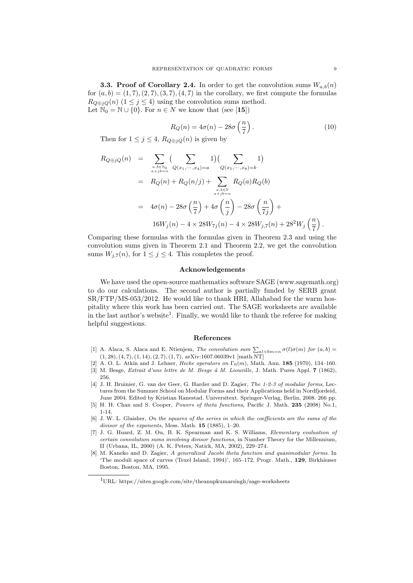**3.3. Proof of Corollary 2.4.** In order to get the convolution sums  $W_{a,b}(n)$ for  $(a, b) = (1, 7), (2, 7), (3, 7), (4, 7)$  in the corollary, we first compute the formulas  $R_{Q \oplus iQ}(n)$  (1  $\leq j \leq 4$ ) using the convolution sums method. Let  $\mathbb{N}_0 = \mathbb{N} \cup \{0\}$ . For  $n \in \mathbb{N}$  we know that (see [15])

$$
R_Q(n) = 4\sigma(n) - 28\sigma\left(\frac{n}{7}\right). \tag{10}
$$

Then for  $1 \leq j \leq 4$ ,  $R_{Q \oplus iQ}(n)$  is given by

$$
R_{Q \oplus jQ}(n) = \sum_{\substack{a,b \in \mathbb{N}_0 \\ a+jb=n}} \left( \sum_{Q(x_1,\dots,x_4)=a} 1 \right) \left( \sum_{Q(x_5,\dots,x_8)=b} 1 \right)
$$
  
=  $R_Q(n) + R_Q(n/j) + \sum_{\substack{a,b \in \mathbb{N} \\ a+jb=n}} R_Q(a)R_Q(b)$   
=  $4\sigma(n) - 28\sigma\left(\frac{n}{7}\right) + 4\sigma\left(\frac{n}{j}\right) - 28\sigma\left(\frac{n}{7j}\right) + 16W_j(n) - 4 \times 28W_{7j}(n) - 4 \times 28W_{j,7}(n) + 28^2W_j\left(\frac{n}{7}\right).$ 

Comparing these formulas with the formulas given in Theorem 2.3 and using the convolution sums given in Theorem 2.1 and Theorem 2.2, we get the convolution sums  $W_{i,7}(n)$ , for  $1 \leq j \leq 4$ . This completes the proof.

### Acknowledgements

We have used the open-source mathematics software SAGE (www.sagemath.org) to do our calculations. The second author is partially funded by SERB grant SR/FTP/MS-053/2012. He would like to thank HRI, Allahabad for the warm hospitality where this work has been carried out. The SAGE worksheets are available in the last author's website<sup>1</sup>. Finally, we would like to thank the referee for making helpful suggestions.

#### References

- [1] A. Alaca, S. Alaca and E. Ntienjem, *The convolution sum*  $\sum_{al+bm=n} \sigma(l)\sigma(m)$  for  $(a,b)$  =  $(1, 28), (4, 7), (1, 14), (2, 7), (1, 7), \text{arXiv:1607.06039v1}$  [math.NT]
- [2] A. O. L. Atkin and J. Lehner, Hecke operators on  $\Gamma_0(m)$ , Math. Ann. 185 (1970), 134–160.
- [3] M. Besge, *Extrait d'une lettre de M. Besge à M. Liouville*, J. Math. Pures Appl. 7 (1862), 256.
- [4] J. H. Bruinier, G. van der Geer, G. Harder and D. Zagier, The 1-2-3 of modular forms, Lectures from the Summer School on Modular Forms and their Applications held in Nordfjordeid, June 2004. Edited by Kristian Ranestad. Universitext. Springer-Verlag, Berlin, 2008. 266 pp.
- [5] H. H. Chan and S. Cooper, Powers of theta functions, Pacific J. Math. 235 (2008) No.1, 1-14.
- [6] J. W. L. Glaisher, On the squares of the series in which the coefficients are the sums of the divisor of the exponents, Mess. Math. **15** (1885), 1-20.
- [7] J. G. Huard, Z. M. Ou, B. K. Spearman and K. S. Williams, Elementary evaluation of certain convolution sums involving divisor functions, in Number Theory for the Millennium, II (Urbana, IL, 2000) (A. K. Peters, Natick, MA, 2002), 229–274.
- [8] M. Kaneko and D. Zagier, A generalized Jacobi theta function and quasimodular forms. In 'The moduli space of curves (Texel Island, 1994)', 165–172, Progr. Math., 129, Birkhäuser Boston, Boston, MA, 1995.

 $^{1}\mathrm{URL: \, https://sites.google.com/site/theanupkumarsingh/sage-worksheets}$